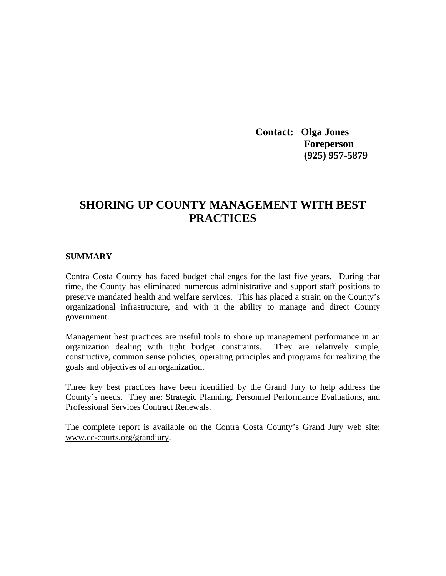**Contact: Olga Jones Foreperson (925) 957-5879**

# **SHORING UP COUNTY MANAGEMENT WITH BEST PRACTICES**

#### **SUMMARY**

Contra Costa County has faced budget challenges for the last five years. During that time, the County has eliminated numerous administrative and support staff positions to preserve mandated health and welfare services. This has placed a strain on the County's organizational infrastructure, and with it the ability to manage and direct County government.

Management best practices are useful tools to shore up management performance in an organization dealing with tight budget constraints. They are relatively simple, constructive, common sense policies, operating principles and programs for realizing the goals and objectives of an organization.

Three key best practices have been identified by the Grand Jury to help address the County's needs. They are: Strategic Planning, Personnel Performance Evaluations, and Professional Services Contract Renewals.

The complete report is available on the Contra Costa County's Grand Jury web site: www.cc-courts.org/grandjury.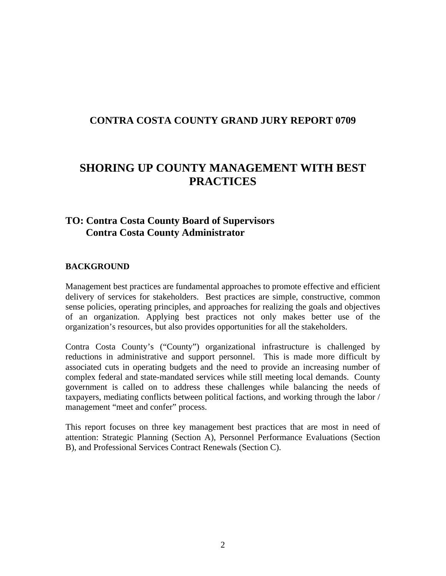## **CONTRA COSTA COUNTY GRAND JURY REPORT 0709**

# **SHORING UP COUNTY MANAGEMENT WITH BEST PRACTICES**

## **TO: Contra Costa County Board of Supervisors Contra Costa County Administrator**

#### **BACKGROUND**

Management best practices are fundamental approaches to promote effective and efficient delivery of services for stakeholders. Best practices are simple, constructive, common sense policies, operating principles, and approaches for realizing the goals and objectives of an organization. Applying best practices not only makes better use of the organization's resources, but also provides opportunities for all the stakeholders.

Contra Costa County's ("County") organizational infrastructure is challenged by reductions in administrative and support personnel. This is made more difficult by associated cuts in operating budgets and the need to provide an increasing number of complex federal and state-mandated services while still meeting local demands. County government is called on to address these challenges while balancing the needs of taxpayers, mediating conflicts between political factions, and working through the labor / management "meet and confer" process.

This report focuses on three key management best practices that are most in need of attention: Strategic Planning (Section A), Personnel Performance Evaluations (Section B), and Professional Services Contract Renewals (Section C).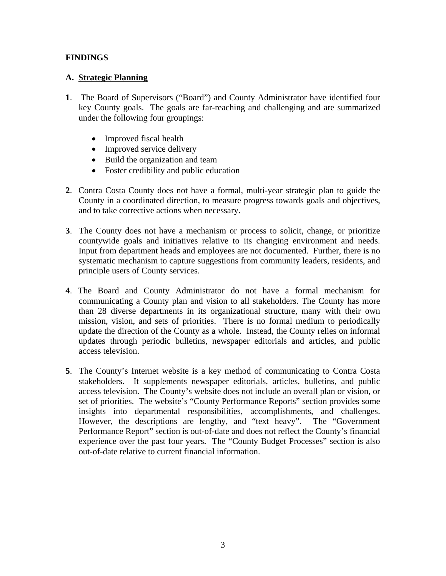## **FINDINGS**

## **A. Strategic Planning**

- **1**. The Board of Supervisors ("Board") and County Administrator have identified four key County goals. The goals are far-reaching and challenging and are summarized under the following four groupings:
	- Improved fiscal health
	- Improved service delivery
	- Build the organization and team
	- Foster credibility and public education
- **2**. Contra Costa County does not have a formal, multi-year strategic plan to guide the County in a coordinated direction, to measure progress towards goals and objectives, and to take corrective actions when necessary.
- **3**. The County does not have a mechanism or process to solicit, change, or prioritize countywide goals and initiatives relative to its changing environment and needs. Input from department heads and employees are not documented. Further, there is no systematic mechanism to capture suggestions from community leaders, residents, and principle users of County services.
- **4**. The Board and County Administrator do not have a formal mechanism for communicating a County plan and vision to all stakeholders. The County has more than 28 diverse departments in its organizational structure, many with their own mission, vision, and sets of priorities. There is no formal medium to periodically update the direction of the County as a whole. Instead, the County relies on informal updates through periodic bulletins, newspaper editorials and articles, and public access television.
- **5**. The County's Internet website is a key method of communicating to Contra Costa stakeholders. It supplements newspaper editorials, articles, bulletins, and public access television. The County's website does not include an overall plan or vision, or set of priorities. The website's "County Performance Reports" section provides some insights into departmental responsibilities, accomplishments, and challenges. However, the descriptions are lengthy, and "text heavy". The "Government Performance Report" section is out-of-date and does not reflect the County's financial experience over the past four years. The "County Budget Processes" section is also out-of-date relative to current financial information.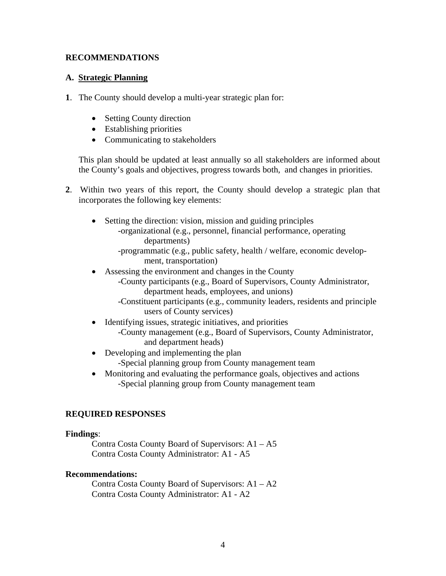## **RECOMMENDATIONS**

## **A. Strategic Planning**

- **1**. The County should develop a multi-year strategic plan for:
	- Setting County direction
	- Establishing priorities
	- Communicating to stakeholders

This plan should be updated at least annually so all stakeholders are informed about the County's goals and objectives, progress towards both, and changes in priorities.

- **2**. Within two years of this report, the County should develop a strategic plan that incorporates the following key elements:
	- Setting the direction: vision, mission and guiding principles
		- -organizational (e.g., personnel, financial performance, operating departments)

-programmatic (e.g., public safety, health / welfare, economic develop ment, transportation)

- Assessing the environment and changes in the County
	- -County participants (e.g., Board of Supervisors, County Administrator, department heads, employees, and unions)
	- -Constituent participants (e.g., community leaders, residents and principle users of County services)
- Identifying issues, strategic initiatives, and priorities
	- -County management (e.g., Board of Supervisors, County Administrator, and department heads)
- Developing and implementing the plan
	- -Special planning group from County management team
- Monitoring and evaluating the performance goals, objectives and actions -Special planning group from County management team

## **REQUIRED RESPONSES**

#### **Findings**:

 Contra Costa County Board of Supervisors: A1 – A5 Contra Costa County Administrator: A1 - A5

#### **Recommendations:**

Contra Costa County Board of Supervisors: A1 – A2 Contra Costa County Administrator: A1 - A2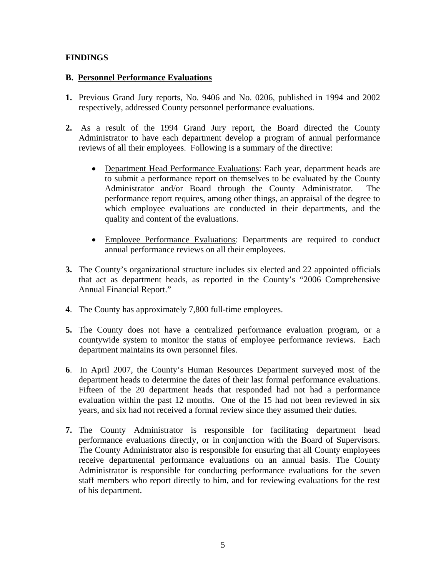## **FINDINGS**

## **B. Personnel Performance Evaluations**

- **1.** Previous Grand Jury reports, No. 9406 and No. 0206, published in 1994 and 2002 respectively, addressed County personnel performance evaluations.
- **2.** As a result of the 1994 Grand Jury report, the Board directed the County Administrator to have each department develop a program of annual performance reviews of all their employees. Following is a summary of the directive:
	- Department Head Performance Evaluations: Each year, department heads are to submit a performance report on themselves to be evaluated by the County Administrator and/or Board through the County Administrator. The performance report requires, among other things, an appraisal of the degree to which employee evaluations are conducted in their departments, and the quality and content of the evaluations.
	- Employee Performance Evaluations: Departments are required to conduct annual performance reviews on all their employees.
- **3.** The County's organizational structure includes six elected and 22 appointed officials that act as department heads, as reported in the County's "2006 Comprehensive Annual Financial Report."
- **4**. The County has approximately 7,800 full-time employees.
- **5.** The County does not have a centralized performance evaluation program, or a countywide system to monitor the status of employee performance reviews. Each department maintains its own personnel files.
- **6**. In April 2007, the County's Human Resources Department surveyed most of the department heads to determine the dates of their last formal performance evaluations. Fifteen of the 20 department heads that responded had not had a performance evaluation within the past 12 months. One of the 15 had not been reviewed in six years, and six had not received a formal review since they assumed their duties.
- **7.** The County Administrator is responsible for facilitating department head performance evaluations directly, or in conjunction with the Board of Supervisors. The County Administrator also is responsible for ensuring that all County employees receive departmental performance evaluations on an annual basis. The County Administrator is responsible for conducting performance evaluations for the seven staff members who report directly to him, and for reviewing evaluations for the rest of his department.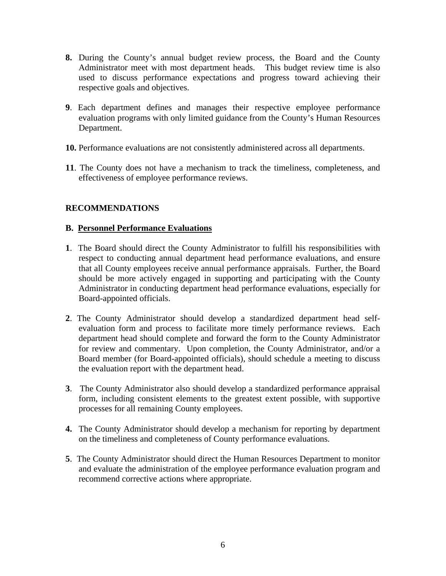- **8.** During the County's annual budget review process, the Board and the County Administrator meet with most department heads. This budget review time is also used to discuss performance expectations and progress toward achieving their respective goals and objectives.
- **9**. Each department defines and manages their respective employee performance evaluation programs with only limited guidance from the County's Human Resources Department.
- **10.** Performance evaluations are not consistently administered across all departments.
- **11**. The County does not have a mechanism to track the timeliness, completeness, and effectiveness of employee performance reviews.

## **RECOMMENDATIONS**

## **B. Personnel Performance Evaluations**

- **1**. The Board should direct the County Administrator to fulfill his responsibilities with respect to conducting annual department head performance evaluations, and ensure that all County employees receive annual performance appraisals. Further, the Board should be more actively engaged in supporting and participating with the County Administrator in conducting department head performance evaluations, especially for Board-appointed officials.
- **2**. The County Administrator should develop a standardized department head selfevaluation form and process to facilitate more timely performance reviews. Each department head should complete and forward the form to the County Administrator for review and commentary. Upon completion, the County Administrator, and/or a Board member (for Board-appointed officials), should schedule a meeting to discuss the evaluation report with the department head.
- **3**. The County Administrator also should develop a standardized performance appraisal form, including consistent elements to the greatest extent possible, with supportive processes for all remaining County employees.
- **4.** The County Administrator should develop a mechanism for reporting by department on the timeliness and completeness of County performance evaluations.
- **5**. The County Administrator should direct the Human Resources Department to monitor and evaluate the administration of the employee performance evaluation program and recommend corrective actions where appropriate.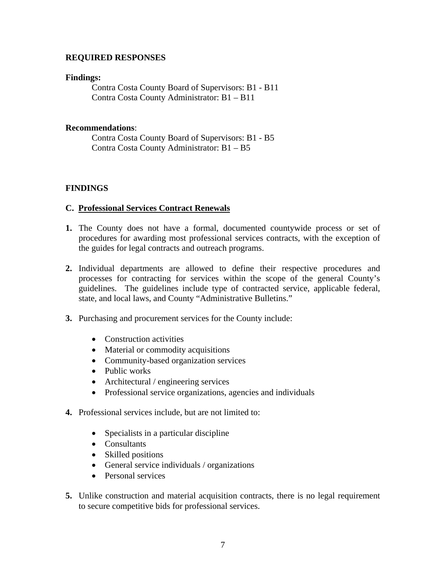## **REQUIRED RESPONSES**

#### **Findings:**

Contra Costa County Board of Supervisors: B1 - B11 Contra Costa County Administrator: B1 – B11

#### **Recommendations**:

 Contra Costa County Board of Supervisors: B1 - B5 Contra Costa County Administrator: B1 – B5

## **FINDINGS**

#### **C. Professional Services Contract Renewals**

- **1.** The County does not have a formal, documented countywide process or set of procedures for awarding most professional services contracts, with the exception of the guides for legal contracts and outreach programs.
- **2.** Individual departments are allowed to define their respective procedures and processes for contracting for services within the scope of the general County's guidelines. The guidelines include type of contracted service, applicable federal, state, and local laws, and County "Administrative Bulletins."
- **3.** Purchasing and procurement services for the County include:
	- Construction activities
	- Material or commodity acquisitions
	- Community-based organization services
	- Public works
	- Architectural / engineering services
	- Professional service organizations, agencies and individuals
- **4.** Professional services include, but are not limited to:
	- Specialists in a particular discipline
	- Consultants
	- Skilled positions
	- General service individuals / organizations
	- Personal services
- **5.** Unlike construction and material acquisition contracts, there is no legal requirement to secure competitive bids for professional services.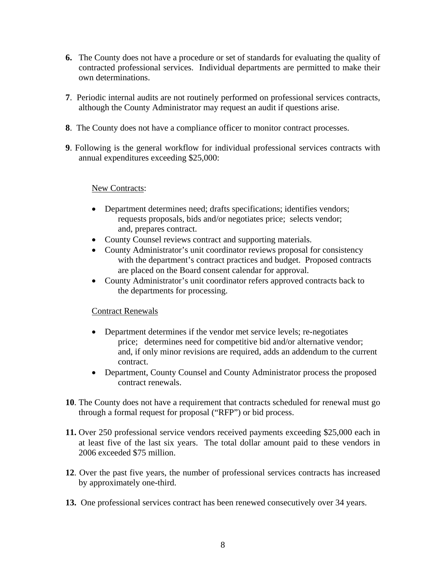- **6.** The County does not have a procedure or set of standards for evaluating the quality of contracted professional services. Individual departments are permitted to make their own determinations.
- **7**. Periodic internal audits are not routinely performed on professional services contracts, although the County Administrator may request an audit if questions arise.
- **8**. The County does not have a compliance officer to monitor contract processes.
- **9**. Following is the general workflow for individual professional services contracts with annual expenditures exceeding \$25,000:

#### New Contracts:

- Department determines need; drafts specifications; identifies vendors; requests proposals, bids and/or negotiates price; selects vendor; and, prepares contract.
- County Counsel reviews contract and supporting materials.
- County Administrator's unit coordinator reviews proposal for consistency with the department's contract practices and budget. Proposed contracts are placed on the Board consent calendar for approval.
- County Administrator's unit coordinator refers approved contracts back to the departments for processing.

#### Contract Renewals

- Department determines if the vendor met service levels; re-negotiates price; determines need for competitive bid and/or alternative vendor; and, if only minor revisions are required, adds an addendum to the current contract.
- Department, County Counsel and County Administrator process the proposed contract renewals.
- **10**. The County does not have a requirement that contracts scheduled for renewal must go through a formal request for proposal ("RFP") or bid process.
- **11.** Over 250 professional service vendors received payments exceeding \$25,000 each in at least five of the last six years. The total dollar amount paid to these vendors in 2006 exceeded \$75 million.
- **12**. Over the past five years, the number of professional services contracts has increased by approximately one-third.
- **13.** One professional services contract has been renewed consecutively over 34 years.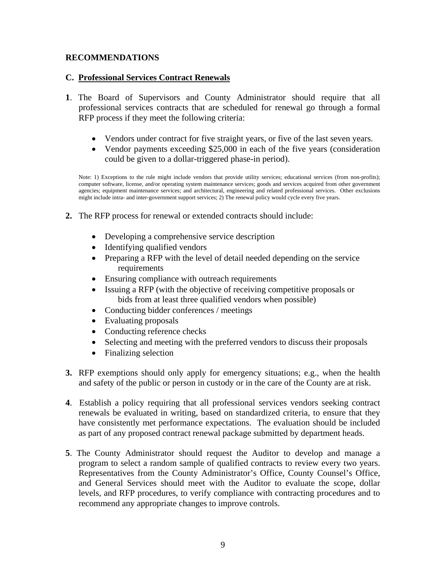## **RECOMMENDATIONS**

## **C. Professional Services Contract Renewals**

- **1**. The Board of Supervisors and County Administrator should require that all professional services contracts that are scheduled for renewal go through a formal RFP process if they meet the following criteria:
	- Vendors under contract for five straight years, or five of the last seven years.
	- Vendor payments exceeding \$25,000 in each of the five years (consideration could be given to a dollar-triggered phase-in period).

Note: 1) Exceptions to the rule might include vendors that provide utility services; educational services (from non-profits); computer software, license, and/or operating system maintenance services; goods and services acquired from other government agencies; equipment maintenance services; and architectural, engineering and related professional services. Other exclusions might include intra- and inter-government support services; 2) The renewal policy would cycle every five years.

- **2.** The RFP process for renewal or extended contracts should include:
	- Developing a comprehensive service description
	- Identifying qualified vendors
	- Preparing a RFP with the level of detail needed depending on the service requirements
	- Ensuring compliance with outreach requirements
	- Issuing a RFP (with the objective of receiving competitive proposals or bids from at least three qualified vendors when possible)
	- Conducting bidder conferences / meetings
	- Evaluating proposals
	- Conducting reference checks
	- Selecting and meeting with the preferred vendors to discuss their proposals
	- Finalizing selection
- **3.** RFP exemptions should only apply for emergency situations; e.g., when the health and safety of the public or person in custody or in the care of the County are at risk.
- **4**. Establish a policy requiring that all professional services vendors seeking contract renewals be evaluated in writing, based on standardized criteria, to ensure that they have consistently met performance expectations. The evaluation should be included as part of any proposed contract renewal package submitted by department heads.
- **5**. The County Administrator should request the Auditor to develop and manage a program to select a random sample of qualified contracts to review every two years. Representatives from the County Administrator's Office, County Counsel's Office, and General Services should meet with the Auditor to evaluate the scope, dollar levels, and RFP procedures, to verify compliance with contracting procedures and to recommend any appropriate changes to improve controls.